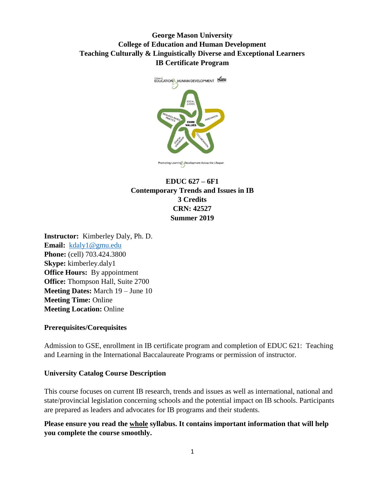# **George Mason University College of Education and Human Development Teaching Culturally & Linguistically Diverse and Exceptional Learners IB Certificate Program**



# **EDUC 627 – 6F1 Contemporary Trends and Issues in IB 3 Credits CRN: 42527 Summer 2019**

**Instructor:** Kimberley Daly, Ph. D. **Email:** [kdaly1@gmu.edu](mailto:kdaly1@gmu.edu) **Phone:** (cell) 703.424.3800 **Skype:** kimberley.daly1 **Office Hours:** By appointment **Office:** Thompson Hall, Suite 2700 **Meeting Dates:** March 19 – June 10 **Meeting Time:** Online **Meeting Location:** Online

#### **Prerequisites/Corequisites**

Admission to GSE, enrollment in IB certificate program and completion of EDUC 621: Teaching and Learning in the International Baccalaureate Programs or permission of instructor.

#### **University Catalog Course Description**

This course focuses on current IB research, trends and issues as well as international, national and state/provincial legislation concerning schools and the potential impact on IB schools. Participants are prepared as leaders and advocates for IB programs and their students.

## **Please ensure you read the whole syllabus. It contains important information that will help you complete the course smoothly.**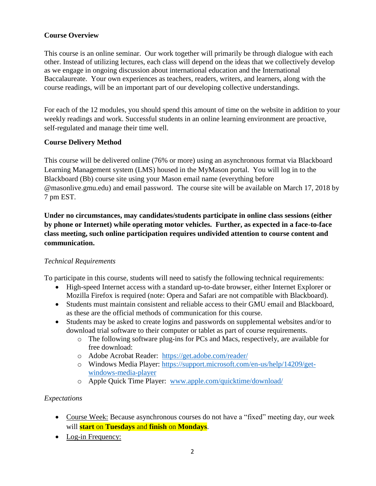## **Course Overview**

This course is an online seminar. Our work together will primarily be through dialogue with each other. Instead of utilizing lectures, each class will depend on the ideas that we collectively develop as we engage in ongoing discussion about international education and the International Baccalaureate. Your own experiences as teachers, readers, writers, and learners, along with the course readings, will be an important part of our developing collective understandings.

For each of the 12 modules, you should spend this amount of time on the website in addition to your weekly readings and work. Successful students in an online learning environment are proactive, self-regulated and manage their time well.

## **Course Delivery Method**

This course will be delivered online (76% or more) using an asynchronous format via Blackboard Learning Management system (LMS) housed in the MyMason portal. You will log in to the Blackboard (Bb) course site using your Mason email name (everything before @masonlive.gmu.edu) and email password. The course site will be available on March 17, 2018 by 7 pm EST.

**Under no circumstances, may candidates/students participate in online class sessions (either by phone or Internet) while operating motor vehicles. Further, as expected in a face-to-face class meeting, such online participation requires undivided attention to course content and communication.**

## *Technical Requirements*

To participate in this course, students will need to satisfy the following technical requirements:

- High-speed Internet access with a standard up-to-date browser, either Internet Explorer or Mozilla Firefox is required (note: Opera and Safari are not compatible with Blackboard).
- Students must maintain consistent and reliable access to their GMU email and Blackboard, as these are the official methods of communication for this course.
- Students may be asked to create logins and passwords on supplemental websites and/or to download trial software to their computer or tablet as part of course requirements.
	- o The following software plug-ins for PCs and Macs, respectively, are available for free download:
	- o Adobe Acrobat Reader: <https://get.adobe.com/reader/>
	- o Windows Media Player: [https://support.microsoft.com/en-us/help/14209/get](https://support.microsoft.com/en-us/help/14209/get-windows-media-player)[windows-media-player](https://support.microsoft.com/en-us/help/14209/get-windows-media-player)
	- o Apple Quick Time Player: [www.apple.com/quicktime/download/](http://www.apple.com/quicktime/download/)

## *Expectations*

- Course Week: Because asynchronous courses do not have a "fixed" meeting day, our week will **start** on **Tuesdays** and **finish** on **Mondays**.
- Log-in Frequency: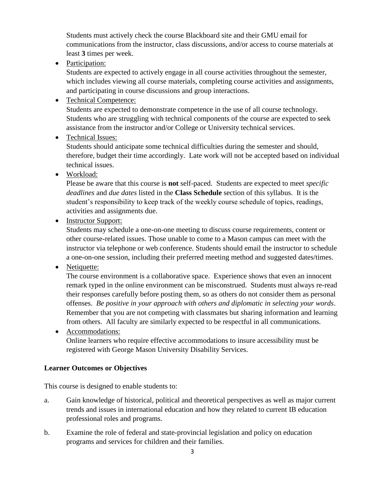Students must actively check the course Blackboard site and their GMU email for communications from the instructor, class discussions, and/or access to course materials at least **3** times per week.

• Participation:

Students are expected to actively engage in all course activities throughout the semester, which includes viewing all course materials, completing course activities and assignments, and participating in course discussions and group interactions.

• Technical Competence:

Students are expected to demonstrate competence in the use of all course technology. Students who are struggling with technical components of the course are expected to seek assistance from the instructor and/or College or University technical services.

• Technical Issues:

Students should anticipate some technical difficulties during the semester and should, therefore, budget their time accordingly. Late work will not be accepted based on individual technical issues.

• Workload:

Please be aware that this course is **not** self-paced. Students are expected to meet *specific deadlines* and *due dates* listed in the **Class Schedule** section of this syllabus. It is the student's responsibility to keep track of the weekly course schedule of topics, readings, activities and assignments due.

• Instructor Support:

Students may schedule a one-on-one meeting to discuss course requirements, content or other course-related issues. Those unable to come to a Mason campus can meet with the instructor via telephone or web conference. Students should email the instructor to schedule a one-on-one session, including their preferred meeting method and suggested dates/times.

• Netiquette:

The course environment is a collaborative space. Experience shows that even an innocent remark typed in the online environment can be misconstrued. Students must always re-read their responses carefully before posting them, so as others do not consider them as personal offenses. *Be positive in your approach with others and diplomatic in selecting your words*. Remember that you are not competing with classmates but sharing information and learning from others. All faculty are similarly expected to be respectful in all communications.

 Accommodations: Online learners who require effective accommodations to insure accessibility must be registered with George Mason University Disability Services.

## **Learner Outcomes or Objectives**

This course is designed to enable students to:

- a. Gain knowledge of historical, political and theoretical perspectives as well as major current trends and issues in international education and how they related to current IB education professional roles and programs.
- b. Examine the role of federal and state-provincial legislation and policy on education programs and services for children and their families.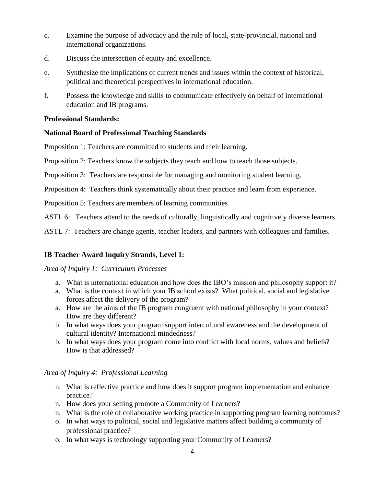- c. Examine the purpose of advocacy and the role of local, state-provincial, national and international organizations.
- d. Discuss the intersection of equity and excellence.
- e. Synthesize the implications of current trends and issues within the context of historical, political and theoretical perspectives in international education.
- f. Possess the knowledge and skills to communicate effectively on behalf of international education and IB programs.

#### **Professional Standards:**

#### **National Board of Professional Teaching Standards**

Proposition 1: Teachers are committed to students and their learning.

Proposition 2: Teachers know the subjects they teach and how to teach those subjects.

Proposition 3: Teachers are responsible for managing and monitoring student learning.

Proposition 4: Teachers think systematically about their practice and learn from experience.

Proposition 5: Teachers are members of learning communities

ASTL 6: Teachers attend to the needs of culturally, linguistically and cognitively diverse learners.

ASTL 7: Teachers are change agents, teacher leaders, and partners with colleagues and families.

## **IB Teacher Award Inquiry Strands, Level 1:**

#### *Area of Inquiry 1: Curriculum Processes*

- a. What is international education and how does the IBO's mission and philosophy support it?
- a. What is the context in which your IB school exists? What political, social and legislative forces affect the delivery of the program?
- a. How are the aims of the IB program congruent with national philosophy in your context? How are they different?
- b. In what ways does your program support intercultural awareness and the development of cultural identity? International mindedness?
- b. In what ways does your program come into conflict with local norms, values and beliefs? How is that addressed?

#### *Area of Inquiry 4: Professional Learning*

- n. What is reflective practice and how does it support program implementation and enhance practice?
- n. How does your setting promote a Community of Learners?
- n. What is the role of collaborative working practice in supporting program learning outcomes?
- o. In what ways to political, social and legislative matters affect building a community of professional practice?
- o. In what ways is technology supporting your Community of Learners?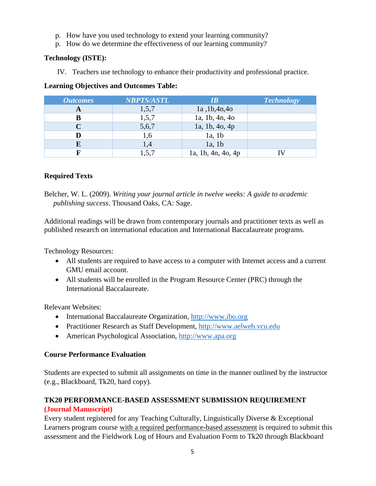- p. How have you used technology to extend your learning community?
- p. How do we determine the effectiveness of our learning community?

#### **Technology (ISTE):**

IV. Teachers use technology to enhance their productivity and professional practice.

## **Learning Objectives and Outcomes Table:**

| <b>Outcomes</b> | <b>NBPTS/ASTL</b> | IR                 | <b>Technology</b> |
|-----------------|-------------------|--------------------|-------------------|
| A               | 1,5,7             | 1a, 1b, 4n, 4o     |                   |
| В               | 1,5,7             | 1a, 1b, 4n, 4o     |                   |
|                 | 5,6,7             | 1a, 1b, 4o, 4p     |                   |
|                 | 1,6               | 1a, 1b             |                   |
|                 | 1,4               | $1a$ , 1b          |                   |
|                 | 1,5,7             | 1a, 1b, 4n, 4o, 4p |                   |

## **Required Texts**

Belcher, W. L. (2009). *Writing your journal article in twelve weeks: A guide to academic publishing success*. Thousand Oaks, CA: Sage.

Additional readings will be drawn from contemporary journals and practitioner texts as well as published research on international education and International Baccalaureate programs.

Technology Resources:

- All students are required to have access to a computer with Internet access and a current GMU email account.
- All students will be enrolled in the Program Resource Center (PRC) through the International Baccalaureate.

Relevant Websites:

- International Baccalaureate Organization, [http://www.ibo.org](http://www.ibo.org/)
- Practitioner Research as Staff Development, [http://www.aelweb.vcu.edu](http://www.aelweb.vcu.edu/)
- American Psychological Association, [http://www.apa.org](http://www.apa.org/)

## **Course Performance Evaluation**

Students are expected to submit all assignments on time in the manner outlined by the instructor (e.g., Blackboard, Tk20, hard copy).

# **TK20 PERFORMANCE-BASED ASSESSMENT SUBMISSION REQUIREMENT (Journal Manuscript)**

Every student registered for any Teaching Culturally, Linguistically Diverse & Exceptional Learners program course with a required performance-based assessment is required to submit this assessment and the Fieldwork Log of Hours and Evaluation Form to Tk20 through Blackboard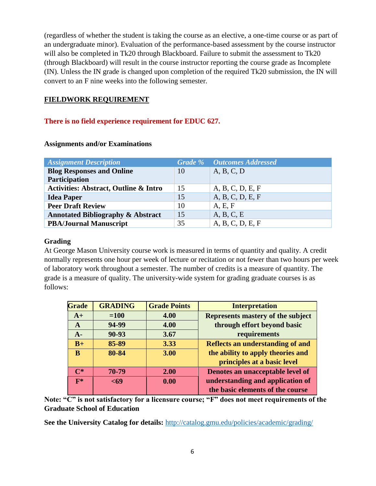(regardless of whether the student is taking the course as an elective, a one-time course or as part of an undergraduate minor). Evaluation of the performance-based assessment by the course instructor will also be completed in Tk20 through Blackboard. Failure to submit the assessment to Tk20 (through Blackboard) will result in the course instructor reporting the course grade as Incomplete (IN). Unless the IN grade is changed upon completion of the required Tk20 submission, the IN will convert to an F nine weeks into the following semester.

## **FIELDWORK REQUIREMENT**

## **There is no field experience requirement for EDUC 627.**

| <b>Assignment Description</b>                    |    | <b>Grade %</b> Outcomes Addressed |
|--------------------------------------------------|----|-----------------------------------|
| <b>Blog Responses and Online</b>                 | 10 | A, B, C, D                        |
| Participation                                    |    |                                   |
| <b>Activities: Abstract, Outline &amp; Intro</b> | 15 | A, B, C, D, E, F                  |
| <b>Idea Paper</b>                                | 15 | A, B, C, D, E, F                  |
| <b>Peer Draft Review</b>                         | 10 | A, E, F                           |
| <b>Annotated Bibliography &amp; Abstract</b>     | 15 | A, B, C, E                        |
| <b>PBA/Journal Manuscript</b>                    | 35 | A, B, C, D, E, F                  |

#### **Assignments and/or Examinations**

## **Grading**

At George Mason University course work is measured in terms of quantity and quality. A credit normally represents one hour per week of lecture or recitation or not fewer than two hours per week of laboratory work throughout a semester. The number of credits is a measure of quantity. The grade is a measure of quality. The university-wide system for grading graduate courses is as follows:

| <b>Grade</b>   | <b>GRADING</b> | <b>Grade Points</b> | <b>Interpretation</b>             |
|----------------|----------------|---------------------|-----------------------------------|
| $A+$           | $=100$         | 4.00                | Represents mastery of the subject |
| A              | 94-99          | 4.00                | through effort beyond basic       |
| $A-$           | 90-93          | 3.67                | requirements                      |
| $B+$           | 85-89          | 3.33                | Reflects an understanding of and  |
| B              | 80-84          | 3.00                | the ability to apply theories and |
|                |                |                     | principles at a basic level       |
| $\mathbf{C}^*$ | 70-79          | 2.00                | Denotes an unacceptable level of  |
| $F^*$          | $69$           | 0.00                | understanding and application of  |
|                |                |                     | the basic elements of the course  |

**Note: "C" is not satisfactory for a licensure course; "F" does not meet requirements of the Graduate School of Education**

**See the University Catalog for details:** <http://catalog.gmu.edu/policies/academic/grading/>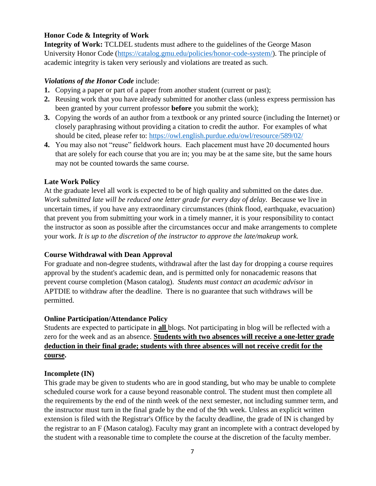## **Honor Code & Integrity of Work**

**Integrity of Work:** TCLDEL students must adhere to the guidelines of the George Mason University Honor Code [\(https://catalog.gmu.edu/policies/honor-code-system/\)](https://catalog.gmu.edu/policies/honor-code-system/). The principle of academic integrity is taken very seriously and violations are treated as such.

#### *Violations of the Honor Code* include:

- **1.** Copying a paper or part of a paper from another student (current or past);
- **2.** Reusing work that you have already submitted for another class (unless express permission has been granted by your current professor **before** you submit the work);
- **3.** Copying the words of an author from a textbook or any printed source (including the Internet) or closely paraphrasing without providing a citation to credit the author. For examples of what should be cited, please refer to:<https://owl.english.purdue.edu/owl/resource/589/02/>
- **4.** You may also not "reuse" fieldwork hours. Each placement must have 20 documented hours that are solely for each course that you are in; you may be at the same site, but the same hours may not be counted towards the same course.

#### **Late Work Policy**

At the graduate level all work is expected to be of high quality and submitted on the dates due. *Work submitted late will be reduced one letter grade for every day of delay.*Because we live in uncertain times, if you have any extraordinary circumstances (think flood, earthquake, evacuation) that prevent you from submitting your work in a timely manner, it is your responsibility to contact the instructor as soon as possible after the circumstances occur and make arrangements to complete your work. *It is up to the discretion of the instructor to approve the late/makeup work.*

#### **Course Withdrawal with Dean Approval**

For graduate and non-degree students, withdrawal after the last day for dropping a course requires approval by the student's academic dean, and is permitted only for nonacademic reasons that prevent course completion (Mason catalog). *Students must contact an academic advisor* in APTDIE to withdraw after the deadline. There is no guarantee that such withdraws will be permitted.

## **Online Participation/Attendance Policy**

Students are expected to participate in **all** blogs. Not participating in blog will be reflected with a zero for the week and as an absence. **Students with two absences will receive a one-letter grade deduction in their final grade; students with three absences will not receive credit for the course.**

## **Incomplete (IN)**

This grade may be given to students who are in good standing, but who may be unable to complete scheduled course work for a cause beyond reasonable control. The student must then complete all the requirements by the end of the ninth week of the next semester, not including summer term, and the instructor must turn in the final grade by the end of the 9th week. Unless an explicit written extension is filed with the Registrar's Office by the faculty deadline, the grade of IN is changed by the registrar to an F (Mason catalog). Faculty may grant an incomplete with a contract developed by the student with a reasonable time to complete the course at the discretion of the faculty member.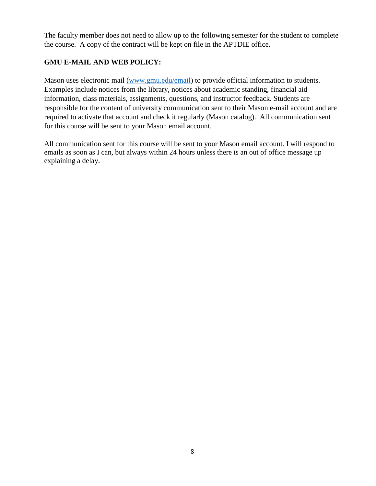The faculty member does not need to allow up to the following semester for the student to complete the course. A copy of the contract will be kept on file in the APTDIE office.

# **GMU E-MAIL AND WEB POLICY:**

Mason uses electronic mail [\(www.gmu.edu/email\)](http://www.gmu.edu/email) to provide official information to students. Examples include notices from the library, notices about academic standing, financial aid information, class materials, assignments, questions, and instructor feedback. Students are responsible for the content of university communication sent to their Mason e-mail account and are required to activate that account and check it regularly (Mason catalog). All communication sent for this course will be sent to your Mason email account.

All communication sent for this course will be sent to your Mason email account. I will respond to emails as soon as I can, but always within 24 hours unless there is an out of office message up explaining a delay.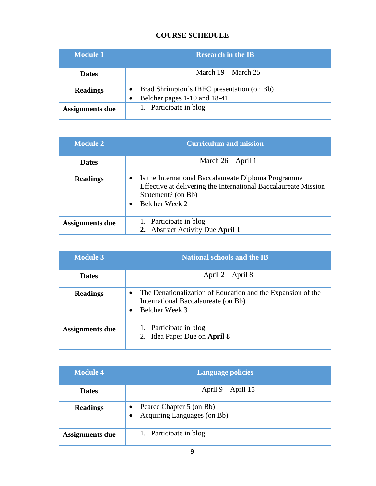# **COURSE SCHEDULE**

| <b>Module 1</b> | <b>Research in the IB</b>                                                  |
|-----------------|----------------------------------------------------------------------------|
| <b>Dates</b>    | March $19 - \text{March } 25$                                              |
| <b>Readings</b> | Brad Shrimpton's IBEC presentation (on Bb)<br>Belcher pages 1-10 and 18-41 |
| Assignments due | 1. Participate in blog                                                     |

| <b>Module 2</b> | <b>Curriculum and mission</b>                                                                                                                                   |
|-----------------|-----------------------------------------------------------------------------------------------------------------------------------------------------------------|
| <b>Dates</b>    | March $26 - April 1$                                                                                                                                            |
| <b>Readings</b> | Is the International Baccalaureate Diploma Programme<br>Effective at delivering the International Baccalaureate Mission<br>Statement? (on Bb)<br>Belcher Week 2 |
| Assignments due | 1. Participate in blog<br><b>Abstract Activity Due April 1</b>                                                                                                  |

| <b>Module 3</b> | <b>National schools and the IB</b>                                                                                   |
|-----------------|----------------------------------------------------------------------------------------------------------------------|
| <b>Dates</b>    | April $2 -$ April 8                                                                                                  |
| <b>Readings</b> | The Denationalization of Education and the Expansion of the<br>International Baccalaureate (on Bb)<br>Belcher Week 3 |
| Assignments due | 1. Participate in blog<br>2. Idea Paper Due on April 8                                                               |

| <b>Module 4</b>        | <b>Language policies</b>                                                          |
|------------------------|-----------------------------------------------------------------------------------|
| <b>Dates</b>           | April $9 -$ April 15                                                              |
| <b>Readings</b>        | Pearce Chapter 5 (on Bb)<br>$\bullet$<br>Acquiring Languages (on Bb)<br>$\bullet$ |
| <b>Assignments due</b> | 1. Participate in blog                                                            |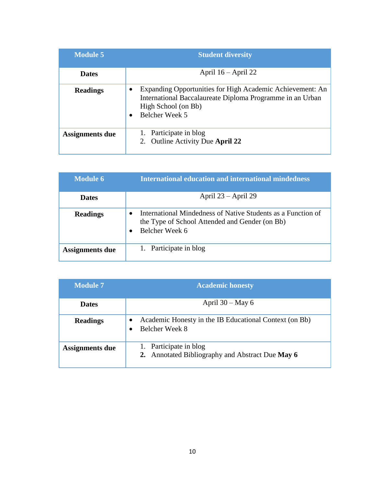| <b>Module 5</b> | <b>Student diversity</b>                                                                                                                                               |
|-----------------|------------------------------------------------------------------------------------------------------------------------------------------------------------------------|
| <b>Dates</b>    | April $16 -$ April 22                                                                                                                                                  |
| <b>Readings</b> | Expanding Opportunities for High Academic Achievement: An<br>International Baccalaureate Diploma Programme in an Urban<br>High School (on Bb)<br><b>Belcher Week 5</b> |
| Assignments due | 1. Participate in blog<br>2. Outline Activity Due April 22                                                                                                             |

| <b>Module 6</b> | <b>International education and international mindedness</b>                                                                      |
|-----------------|----------------------------------------------------------------------------------------------------------------------------------|
| <b>Dates</b>    | April $23 -$ April 29                                                                                                            |
| <b>Readings</b> | International Mindedness of Native Students as a Function of<br>the Type of School Attended and Gender (on Bb)<br>Belcher Week 6 |
| Assignments due | 1. Participate in blog                                                                                                           |

| <b>Module 7</b> | <b>Academic honesty</b>                                                    |
|-----------------|----------------------------------------------------------------------------|
| <b>Dates</b>    | April $30 -$ May 6                                                         |
| <b>Readings</b> | Academic Honesty in the IB Educational Context (on Bb)<br>Belcher Week 8   |
| Assignments due | 1. Participate in blog<br>2. Annotated Bibliography and Abstract Due May 6 |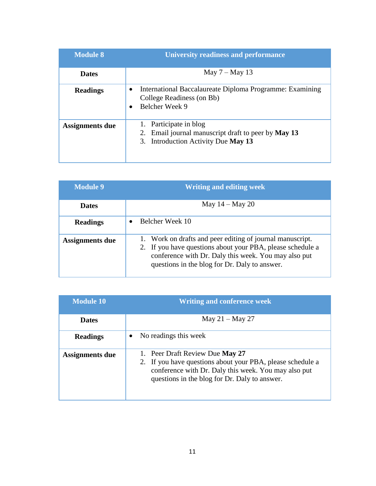| <b>Module 8</b>        | <b>University readiness and performance</b>                                                                                       |
|------------------------|-----------------------------------------------------------------------------------------------------------------------------------|
| <b>Dates</b>           | May $7 -$ May 13                                                                                                                  |
| <b>Readings</b>        | International Baccalaureate Diploma Programme: Examining<br>$\bullet$<br>College Readiness (on Bb)<br>Belcher Week 9<br>$\bullet$ |
| <b>Assignments due</b> | 1. Participate in blog<br>Email journal manuscript draft to peer by May 13<br>2.<br>3. Introduction Activity Due May 13           |

| <b>Module 9</b> | <b>Writing and editing week</b>                                                                                                                                                                                                  |
|-----------------|----------------------------------------------------------------------------------------------------------------------------------------------------------------------------------------------------------------------------------|
| <b>Dates</b>    | May $14 -$ May 20                                                                                                                                                                                                                |
| <b>Readings</b> | Belcher Week 10                                                                                                                                                                                                                  |
| Assignments due | 1. Work on drafts and peer editing of journal manuscript.<br>2. If you have questions about your PBA, please schedule a<br>conference with Dr. Daly this week. You may also put<br>questions in the blog for Dr. Daly to answer. |

| <b>Module 10</b>       | <b>Writing and conference week</b>                                                                                                                                                                     |
|------------------------|--------------------------------------------------------------------------------------------------------------------------------------------------------------------------------------------------------|
| <b>Dates</b>           | May $21 -$ May 27                                                                                                                                                                                      |
| <b>Readings</b>        | No readings this week                                                                                                                                                                                  |
| <b>Assignments due</b> | 1. Peer Draft Review Due May 27<br>2. If you have questions about your PBA, please schedule a<br>conference with Dr. Daly this week. You may also put<br>questions in the blog for Dr. Daly to answer. |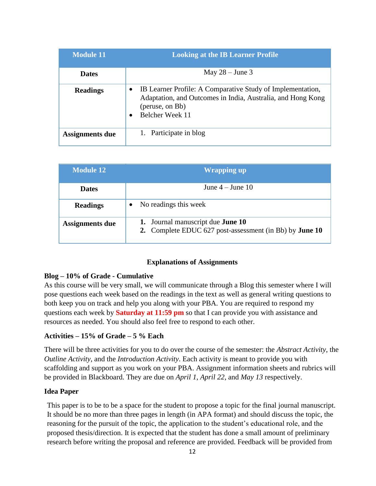| <b>Module 11</b> | <b>Looking at the IB Learner Profile</b>                                                                                                                        |
|------------------|-----------------------------------------------------------------------------------------------------------------------------------------------------------------|
| <b>Dates</b>     | May $28 -$ June 3                                                                                                                                               |
| <b>Readings</b>  | IB Learner Profile: A Comparative Study of Implementation,<br>Adaptation, and Outcomes in India, Australia, and Hong Kong<br>(peruse, on Bb)<br>Belcher Week 11 |
| Assignments due  | 1. Participate in blog                                                                                                                                          |

| <b>Module 12</b>       | <b>Wrapping up</b>                                                                                  |
|------------------------|-----------------------------------------------------------------------------------------------------|
| <b>Dates</b>           | June $4 -$ June $10$                                                                                |
| <b>Readings</b>        | No readings this week                                                                               |
| <b>Assignments due</b> | 1. Journal manuscript due <b>June 10</b><br>2. Complete EDUC 627 post-assessment (in Bb) by June 10 |

#### **Explanations of Assignments**

#### **Blog – 10% of Grade - Cumulative**

As this course will be very small, we will communicate through a Blog this semester where I will pose questions each week based on the readings in the text as well as general writing questions to both keep you on track and help you along with your PBA. You are required to respond my questions each week by **Saturday at 11:59 pm** so that I can provide you with assistance and resources as needed. You should also feel free to respond to each other.

#### **Activities – 15% of Grade – 5 % Each**

There will be three activities for you to do over the course of the semester: the *Abstract Activity*, the *Outline Activity*, and the *Introduction Activity*. Each activity is meant to provide you with scaffolding and support as you work on your PBA. Assignment information sheets and rubrics will be provided in Blackboard. They are due on *April 1*, *April 22*, and *May 13* respectively.

#### **Idea Paper**

This paper is to be to be a space for the student to propose a topic for the final journal manuscript. It should be no more than three pages in length (in APA format) and should discuss the topic, the reasoning for the pursuit of the topic, the application to the student's educational role, and the proposed thesis/direction. It is expected that the student has done a small amount of preliminary research before writing the proposal and reference are provided. Feedback will be provided from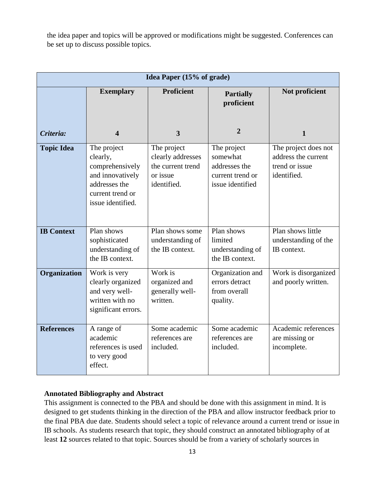the idea paper and topics will be approved or modifications might be suggested. Conferences can be set up to discuss possible topics.

| Idea Paper (15% of grade) |                                                                                                                          |                                                                                  |                                                                                  |                                                                              |
|---------------------------|--------------------------------------------------------------------------------------------------------------------------|----------------------------------------------------------------------------------|----------------------------------------------------------------------------------|------------------------------------------------------------------------------|
|                           | <b>Exemplary</b>                                                                                                         | <b>Proficient</b>                                                                | <b>Partially</b><br>proficient                                                   | Not proficient                                                               |
| Criteria:                 | 4                                                                                                                        | $\overline{\mathbf{3}}$                                                          | $\overline{2}$                                                                   | 1                                                                            |
| <b>Topic Idea</b>         | The project<br>clearly,<br>comprehensively<br>and innovatively<br>addresses the<br>current trend or<br>issue identified. | The project<br>clearly addresses<br>the current trend<br>or issue<br>identified. | The project<br>somewhat<br>addresses the<br>current trend or<br>issue identified | The project does not<br>address the current<br>trend or issue<br>identified. |
| <b>IB Context</b>         | Plan shows<br>sophisticated<br>understanding of<br>the IB context.                                                       | Plan shows some<br>understanding of<br>the IB context.                           | Plan shows<br>limited<br>understanding of<br>the IB context.                     | Plan shows little<br>understanding of the<br>IB context.                     |
| Organization              | Work is very<br>clearly organized<br>and very well-<br>written with no<br>significant errors.                            | Work is<br>organized and<br>generally well-<br>written.                          | Organization and<br>errors detract<br>from overall<br>quality.                   | Work is disorganized<br>and poorly written.                                  |
| <b>References</b>         | A range of<br>academic<br>references is used<br>to very good<br>effect.                                                  | Some academic<br>references are<br>included.                                     | Some academic<br>references are<br>included.                                     | Academic references<br>are missing or<br>incomplete.                         |

## **Annotated Bibliography and Abstract**

This assignment is connected to the PBA and should be done with this assignment in mind. It is designed to get students thinking in the direction of the PBA and allow instructor feedback prior to the final PBA due date. Students should select a topic of relevance around a current trend or issue in IB schools. As students research that topic, they should construct an annotated bibliography of at least **12** sources related to that topic. Sources should be from a variety of scholarly sources in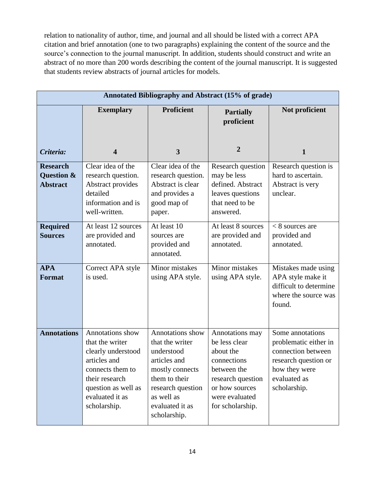relation to nationality of author, time, and journal and all should be listed with a correct APA citation and brief annotation (one to two paragraphs) explaining the content of the source and the source's connection to the journal manuscript. In addition, students should construct and write an abstract of no more than 200 words describing the content of the journal manuscript. It is suggested that students review abstracts of journal articles for models.

|                                                  | Annotated Bibliography and Abstract (15% of grade)                                                                                                                        |                                                                                                                                                                             |                                                                                                                                                          |                                                                                                                                          |
|--------------------------------------------------|---------------------------------------------------------------------------------------------------------------------------------------------------------------------------|-----------------------------------------------------------------------------------------------------------------------------------------------------------------------------|----------------------------------------------------------------------------------------------------------------------------------------------------------|------------------------------------------------------------------------------------------------------------------------------------------|
|                                                  | <b>Exemplary</b>                                                                                                                                                          | <b>Proficient</b>                                                                                                                                                           | <b>Partially</b><br>proficient                                                                                                                           | Not proficient                                                                                                                           |
| Criteria:                                        | $\overline{\mathbf{4}}$                                                                                                                                                   | $\overline{\mathbf{3}}$                                                                                                                                                     | $\overline{2}$                                                                                                                                           | $\mathbf{1}$                                                                                                                             |
| <b>Research</b><br>Question &<br><b>Abstract</b> | Clear idea of the<br>research question.<br>Abstract provides<br>detailed<br>information and is<br>well-written.                                                           | Clear idea of the<br>research question.<br>Abstract is clear<br>and provides a<br>good map of<br>paper.                                                                     | Research question<br>may be less<br>defined. Abstract<br>leaves questions<br>that need to be<br>answered.                                                | Research question is<br>hard to ascertain.<br>Abstract is very<br>unclear.                                                               |
| <b>Required</b><br><b>Sources</b>                | At least 12 sources<br>are provided and<br>annotated.                                                                                                                     | At least 10<br>sources are<br>provided and<br>annotated.                                                                                                                    | At least 8 sources<br>are provided and<br>annotated.                                                                                                     | $<$ 8 sources are<br>provided and<br>annotated.                                                                                          |
| <b>APA</b><br><b>Format</b>                      | Correct APA style<br>is used.                                                                                                                                             | Minor mistakes<br>using APA style.                                                                                                                                          | Minor mistakes<br>using APA style.                                                                                                                       | Mistakes made using<br>APA style make it<br>difficult to determine<br>where the source was<br>found.                                     |
| <b>Annotations</b>                               | Annotations show<br>that the writer<br>clearly understood<br>articles and<br>connects them to<br>their research<br>question as well as<br>evaluated it as<br>scholarship. | Annotations show<br>that the writer<br>understood<br>articles and<br>mostly connects<br>them to their<br>research question<br>as well as<br>evaluated it as<br>scholarship. | Annotations may<br>be less clear<br>about the<br>connections<br>between the<br>research question<br>or how sources<br>were evaluated<br>for scholarship. | Some annotations<br>problematic either in<br>connection between<br>research question or<br>how they were<br>evaluated as<br>scholarship. |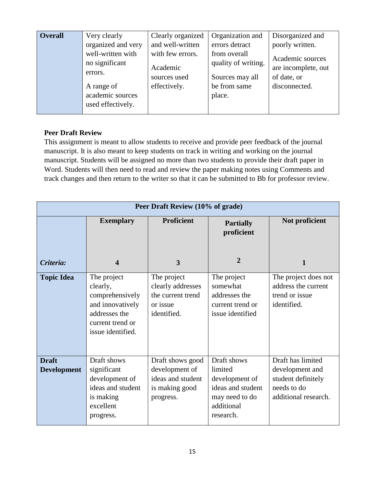| <b>Overall</b> | Very clearly                          | Clearly organized | Organization and    | Disorganized and    |
|----------------|---------------------------------------|-------------------|---------------------|---------------------|
|                | organized and very                    | and well-written  | errors detract      | poorly written.     |
|                | well-written with                     | with few errors.  | from overall        | Academic sources    |
|                | no significant                        | Academic          | quality of writing. | are incomplete, out |
|                | errors.                               | sources used      | Sources may all     | of date, or         |
|                | A range of                            | effectively.      | be from same        | disconnected.       |
|                | academic sources<br>used effectively. |                   | place.              |                     |

#### **Peer Draft Review**

This assignment is meant to allow students to receive and provide peer feedback of the journal manuscript. It is also meant to keep students on track in writing and working on the journal manuscript. Students will be assigned no more than two students to provide their draft paper in Word. Students will then need to read and review the paper making notes using Comments and track changes and then return to the writer so that it can be submitted to Bb for professor review.

|                                    | Peer Draft Review (10% of grade)                                                                                         |                                                                                        |                                                                                                            |                                                                                                   |  |
|------------------------------------|--------------------------------------------------------------------------------------------------------------------------|----------------------------------------------------------------------------------------|------------------------------------------------------------------------------------------------------------|---------------------------------------------------------------------------------------------------|--|
|                                    | <b>Exemplary</b>                                                                                                         | <b>Proficient</b>                                                                      | <b>Partially</b><br>proficient                                                                             | Not proficient                                                                                    |  |
| Criteria:                          | $\boldsymbol{4}$                                                                                                         | 3                                                                                      | $\overline{2}$                                                                                             | 1                                                                                                 |  |
| <b>Topic Idea</b>                  | The project<br>clearly,<br>comprehensively<br>and innovatively<br>addresses the<br>current trend or<br>issue identified. | The project<br>clearly addresses<br>the current trend<br>or issue<br>identified.       | The project<br>somewhat<br>addresses the<br>current trend or<br>issue identified                           | The project does not<br>address the current<br>trend or issue<br>identified.                      |  |
| <b>Draft</b><br><b>Development</b> | Draft shows<br>significant<br>development of<br>ideas and student<br>is making<br>excellent<br>progress.                 | Draft shows good<br>development of<br>ideas and student<br>is making good<br>progress. | Draft shows<br>limited<br>development of<br>ideas and student<br>may need to do<br>additional<br>research. | Draft has limited<br>development and<br>student definitely<br>needs to do<br>additional research. |  |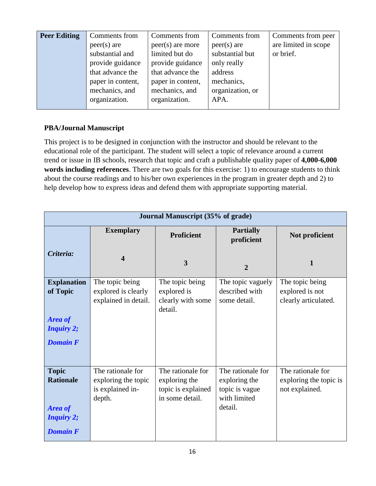| <b>Peer Editing</b> | Comments from     | Comments from      | Comments from    | Comments from peer   |
|---------------------|-------------------|--------------------|------------------|----------------------|
|                     | $peer(s)$ are     | $peer(s)$ are more | $peer(s)$ are    | are limited in scope |
|                     | substantial and   | limited but do     | substantial but  | or brief.            |
|                     | provide guidance  | provide guidance   | only really      |                      |
|                     | that advance the  | that advance the   | address          |                      |
|                     | paper in content, | paper in content,  | mechanics,       |                      |
|                     | mechanics, and    | mechanics, and     | organization, or |                      |
|                     | organization.     | organization.      | APA.             |                      |
|                     |                   |                    |                  |                      |

# **PBA/Journal Manuscript**

This project is to be designed in conjunction with the instructor and should be relevant to the educational role of the participant. The student will select a topic of relevance around a current trend or issue in IB schools, research that topic and craft a publishable quality paper of **4,000-6,000 words including references**. There are two goals for this exercise: 1) to encourage students to think about the course readings and to his/her own experiences in the program in greater depth and 2) to help develop how to express ideas and defend them with appropriate supporting material.

| <b>Journal Manuscript (35% of grade)</b>                                                   |                                                                        |                                                                             |                                                                                 |                                                               |
|--------------------------------------------------------------------------------------------|------------------------------------------------------------------------|-----------------------------------------------------------------------------|---------------------------------------------------------------------------------|---------------------------------------------------------------|
|                                                                                            | <b>Exemplary</b>                                                       | <b>Proficient</b>                                                           | <b>Partially</b><br>proficient                                                  | Not proficient                                                |
| Criteria:                                                                                  | $\boldsymbol{4}$                                                       | 3                                                                           | 2                                                                               | 1                                                             |
| <b>Explanation</b><br>of Topic<br><b>Area of</b><br><b>Inquiry 2;</b><br><b>Domain F</b>   | The topic being<br>explored is clearly<br>explained in detail.         | The topic being<br>explored is<br>clearly with some<br>detail.              | The topic vaguely<br>described with<br>some detail.                             | The topic being<br>explored is not<br>clearly articulated.    |
| <b>Topic</b><br><b>Rationale</b><br><b>Area of</b><br><b>Inquiry 2;</b><br><b>Domain F</b> | The rationale for<br>exploring the topic<br>is explained in-<br>depth. | The rationale for<br>exploring the<br>topic is explained<br>in some detail. | The rationale for<br>exploring the<br>topic is vague<br>with limited<br>detail. | The rationale for<br>exploring the topic is<br>not explained. |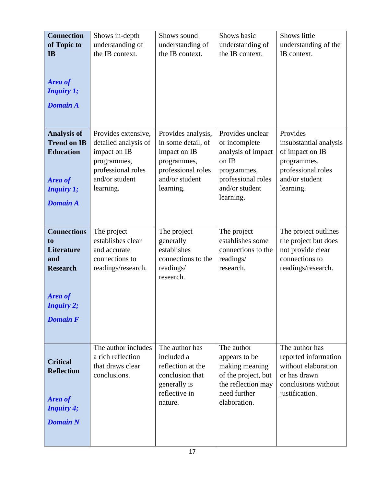| <b>Connection</b><br>of Topic to<br><b>IB</b><br>Area of<br><b>Inquiry 1;</b>                                                     | Shows in-depth<br>understanding of<br>the IB context.                                                                           | Shows sound<br>understanding of<br>the IB context.                                                                           | Shows basic<br>understanding of<br>the IB context.                                                                                   | Shows little<br>understanding of the<br>IB context.                                                                       |
|-----------------------------------------------------------------------------------------------------------------------------------|---------------------------------------------------------------------------------------------------------------------------------|------------------------------------------------------------------------------------------------------------------------------|--------------------------------------------------------------------------------------------------------------------------------------|---------------------------------------------------------------------------------------------------------------------------|
| <b>Domain A</b>                                                                                                                   |                                                                                                                                 |                                                                                                                              |                                                                                                                                      |                                                                                                                           |
| <b>Analysis of</b><br><b>Trend on IB</b><br><b>Education</b><br>Area of<br><b>Inquiry 1;</b><br><b>Domain A</b>                   | Provides extensive,<br>detailed analysis of<br>impact on IB<br>programmes,<br>professional roles<br>and/or student<br>learning. | Provides analysis,<br>in some detail, of<br>impact on IB<br>programmes,<br>professional roles<br>and/or student<br>learning. | Provides unclear<br>or incomplete<br>analysis of impact<br>on IB<br>programmes,<br>professional roles<br>and/or student<br>learning. | Provides<br>insubstantial analysis<br>of impact on IB<br>programmes,<br>professional roles<br>and/or student<br>learning. |
| <b>Connections</b><br>to<br><b>Literature</b><br>and<br><b>Research</b><br><b>Area of</b><br><i>Inquiry 2;</i><br><b>Domain F</b> | The project<br>establishes clear<br>and accurate<br>connections to<br>readings/research.                                        | The project<br>generally<br>establishes<br>connections to the<br>readings/<br>research.                                      | The project<br>establishes some<br>connections to the<br>readings/<br>research.                                                      | The project outlines<br>the project but does<br>not provide clear<br>connections to<br>readings/research.                 |
| <b>Critical</b><br><b>Reflection</b><br><b>Area of</b><br><b>Inquiry 4;</b><br><b>Domain N</b>                                    | The author includes<br>a rich reflection<br>that draws clear<br>conclusions.                                                    | The author has<br>included a<br>reflection at the<br>conclusion that<br>generally is<br>reflective in<br>nature.             | The author<br>appears to be<br>making meaning<br>of the project, but<br>the reflection may<br>need further<br>elaboration.           | The author has<br>reported information<br>without elaboration<br>or has drawn<br>conclusions without<br>justification.    |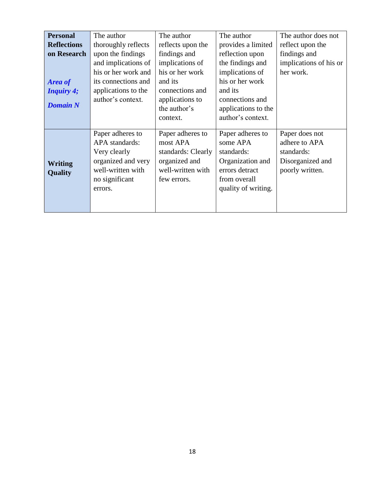| <b>Personal</b>    | The author          | The author         | The author          | The author does not    |
|--------------------|---------------------|--------------------|---------------------|------------------------|
|                    |                     |                    |                     |                        |
| <b>Reflections</b> | thoroughly reflects | reflects upon the  | provides a limited  | reflect upon the       |
| on Research        | upon the findings   | findings and       | reflection upon     | findings and           |
|                    | and implications of | implications of    | the findings and    | implications of his or |
|                    | his or her work and | his or her work    | implications of     | her work.              |
| <b>Area of</b>     | its connections and | and its            | his or her work     |                        |
| <b>Inquiry 4;</b>  | applications to the | connections and    | and its             |                        |
|                    | author's context.   | applications to    | connections and     |                        |
| <b>Domain N</b>    |                     | the author's       | applications to the |                        |
|                    |                     | context.           | author's context.   |                        |
|                    |                     |                    |                     |                        |
|                    | Paper adheres to    | Paper adheres to   | Paper adheres to    | Paper does not         |
|                    | APA standards:      | most APA           | some APA            | adhere to APA          |
|                    | Very clearly        | standards: Clearly | standards:          | standards:             |
| Writing            | organized and very  | organized and      | Organization and    | Disorganized and       |
| <b>Quality</b>     | well-written with   | well-written with  | errors detract      | poorly written.        |
|                    | no significant      | few errors.        | from overall        |                        |
|                    | errors.             |                    | quality of writing. |                        |
|                    |                     |                    |                     |                        |
|                    |                     |                    |                     |                        |
|                    |                     |                    |                     |                        |